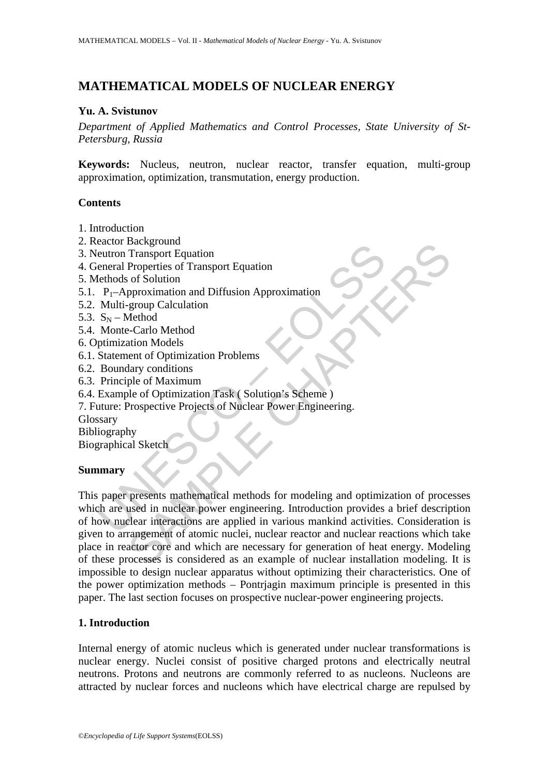# **MATHEMATICAL MODELS OF NUCLEAR ENERGY**

#### **Yu. A. Svistunov**

*Department of Applied Mathematics and Control Processes, State University of St-Petersburg, Russia* 

**Keywords:** Nucleus, neutron, nuclear reactor, transfer equation, multi-group approximation, optimization, transmutation, energy production.

#### **Contents**

- 1. Introduction
- 2. Reactor Background
- 3. Neutron Transport Equation
- 4. General Properties of Transport Equation
- 5. Methods of Solution
- 5.1.  $P_1$ –Approximation and Diffusion Approximation
- 5.2. Multi-group Calculation
- 5.3.  $S_N$  Method
- 5.4. Monte-Carlo Method
- 6. Optimization Models
- 6.1. Statement of Optimization Problems
- 6.2. Boundary conditions
- 6.3. Principle of Maximum
- 6.4. Example of Optimization Task ( Solution's Scheme )
- 7. Future: Prospective Projects of Nuclear Power Engineering.

Glossary

Bibliography

Biographical Sketch

### **Summary**

Caccio Exercision<br>
eleutron Transport Equation<br>
ieneral Properties of Transport Equation<br>
Tenhods of Solution<br>
P<sub>I</sub>-Approximation and Diffusion Approximation<br>
Multi-group Calculation<br>
Monte-Carlo Method<br>
Monte-Carlo Method Background<br>
Transport Equation<br>
Properties of Transport Equation<br>
of Solution<br>
group Calculation<br>
agroup Calculation<br>
agroup Calculation<br>
Are group Calculation<br>
Method<br>
attion Models<br>
ent of Optimization Problems<br>
alary co This paper presents mathematical methods for modeling and optimization of processes which are used in nuclear power engineering. Introduction provides a brief description of how nuclear interactions are applied in various mankind activities. Consideration is given to arrangement of atomic nuclei, nuclear reactor and nuclear reactions which take place in reactor core and which are necessary for generation of heat energy. Modeling of these processes is considered as an example of nuclear installation modeling. It is impossible to design nuclear apparatus without optimizing their characteristics. One of the power optimization methods – Pontrjagin maximum principle is presented in this paper. The last section focuses on prospective nuclear-power engineering projects.

### **1. Introduction**

Internal energy of atomic nucleus which is generated under nuclear transformations is nuclear energy. Nuclei consist of positive charged protons and electrically neutral neutrons. Protons and neutrons are commonly referred to as nucleons. Nucleons are attracted by nuclear forces and nucleons which have electrical charge are repulsed by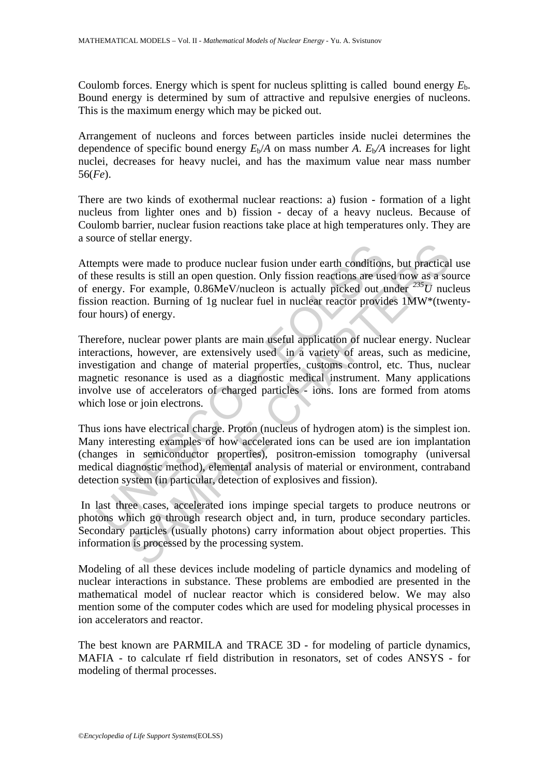Coulomb forces. Energy which is spent for nucleus splitting is called bound energy *E*b. Bound energy is determined by sum of attractive and repulsive energies of nucleons. This is the maximum energy which may be picked out.

Arrangement of nucleons and forces between particles inside nuclei determines the dependence of specific bound energy  $E_b/A$  on mass number *A*.  $E_b/A$  increases for light nuclei, decreases for heavy nuclei, and has the maximum value near mass number 56(*Fe*).

There are two kinds of exothermal nuclear reactions: a) fusion - formation of a light nucleus from lighter ones and b) fission - decay of a heavy nucleus. Because of Coulomb barrier, nuclear fusion reactions take place at high temperatures only. They are a source of stellar energy.

Attempts were made to produce nuclear fusion under earth conditions, but practical use of these results is still an open question. Only fission reactions are used now as a source of energy. For example, 0.86MeV/nucleon is actually picked out under *235U* nucleus fission reaction. Burning of 1g nuclear fuel in nuclear reactor provides 1MW\*(twentyfour hours) of energy.

expendite to produce nuclear fusion under earth condition<br>nese results is still an open question. Only fission reactions are use<br>nergy. For example, 0.86MeV/nucleon is actually picked out t<br>in conrection. Burning of 1g nuc From the original margins and the still and the still and the still and the still and is a sucusly is a still an open question. Only fission reactions are used now as a so For example, 0.86MeV/nucleon is actually picked ou Therefore, nuclear power plants are main useful application of nuclear energy. Nuclear interactions, however, are extensively used in a variety of areas, such as medicine, investigation and change of material properties, customs control, etc. Thus, nuclear magnetic resonance is used as a diagnostic medical instrument. Many applications involve use of accelerators of charged particles - ions. Ions are formed from atoms which lose or join electrons.

Thus ions have electrical charge. Proton (nucleus of hydrogen atom) is the simplest ion. Many interesting examples of how accelerated ions can be used are ion implantation (changes in semiconductor properties), positron-emission tomography (universal medical diagnostic method), elemental analysis of material or environment, contraband detection system (in particular, detection of explosives and fission).

 In last three cases, accelerated ions impinge special targets to produce neutrons or photons which go through research object and, in turn, produce secondary particles. Secondary particles (usually photons) carry information about object properties. This information is processed by the processing system.

Modeling of all these devices include modeling of particle dynamics and modeling of nuclear interactions in substance. These problems are embodied are presented in the mathematical model of nuclear reactor which is considered below. We may also mention some of the computer codes which are used for modeling physical processes in ion accelerators and reactor.

The best known are PARMILA and TRACE 3D - for modeling of particle dynamics, MAFIA - to calculate rf field distribution in resonators, set of codes ANSYS - for modeling of thermal processes.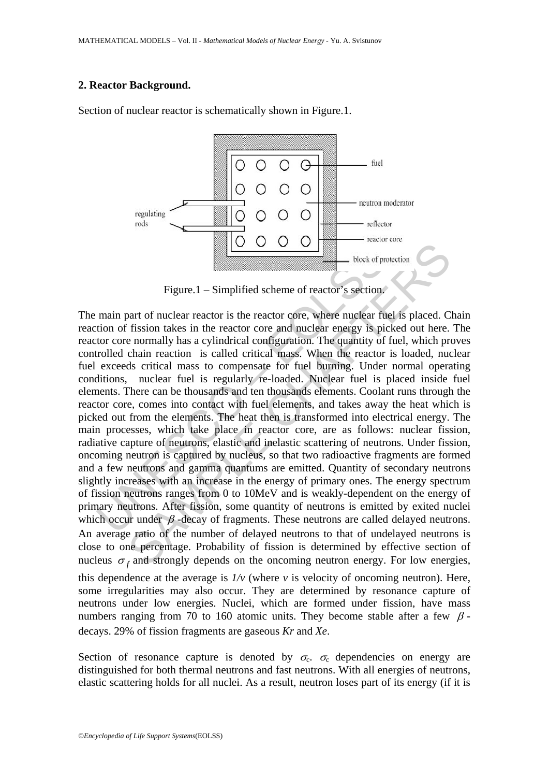### **2. Reactor Background.**

Section of nuclear reactor is schematically shown in Figure.1.



Figure.1 – Simplified scheme of reactor's section.

Figure.1 – Simplified scheme of reactor's section.<br>
Figure.1 – Simplified scheme of reactor's section.<br>
main part of nuclear reactor is the reactor core, where nuclear fution<br>
to of fission takes in the reactor core and n Figure.1 – Simplified scheme of reactor is section.<br>
Figure.1 – Simplified scheme of reactor's section.<br>
This is in the reactor core and unclear renergy is picked out here.<br>
In fission takes in the reactor core and unclea The main part of nuclear reactor is the reactor core, where nuclear fuel is placed. Chain reaction of fission takes in the reactor core and nuclear energy is picked out here. The reactor core normally has a cylindrical configuration. The quantity of fuel, which proves controlled chain reaction is called critical mass. When the reactor is loaded, nuclear fuel exceeds critical mass to compensate for fuel burning. Under normal operating conditions, nuclear fuel is regularly re-loaded. Nuclear fuel is placed inside fuel elements. There can be thousands and ten thousands elements. Coolant runs through the reactor core, comes into contact with fuel elements, and takes away the heat which is picked out from the elements. The heat then is transformed into electrical energy. The main processes, which take place in reactor core, are as follows: nuclear fission, radiative capture of neutrons, elastic and inelastic scattering of neutrons. Under fission, oncoming neutron is captured by nucleus, so that two radioactive fragments are formed and a few neutrons and gamma quantums are emitted. Quantity of secondary neutrons slightly increases with an increase in the energy of primary ones. The energy spectrum of fission neutrons ranges from 0 to 10MeV and is weakly-dependent on the energy of primary neutrons. After fission, some quantity of neutrons is emitted by exited nuclei which occur under  $\beta$ -decay of fragments. These neutrons are called delayed neutrons. An average ratio of the number of delayed neutrons to that of undelayed neutrons is close to one percentage. Probability of fission is determined by effective section of nucleus  $\sigma_f$  and strongly depends on the oncoming neutron energy. For low energies, this dependence at the average is  $1/v$  (where  $v$  is velocity of oncoming neutron). Here, some irregularities may also occur. They are determined by resonance capture of neutrons under low energies. Nuclei, which are formed under fission, have mass numbers ranging from 70 to 160 atomic units. They become stable after a few  $\beta$ decays. 29% of fission fragments are gaseous *Kr* and *Xe*.

Section of resonance capture is denoted by  $\sigma_c$ .  $\sigma_c$  dependencies on energy are distinguished for both thermal neutrons and fast neutrons. With all energies of neutrons, elastic scattering holds for all nuclei. As a result, neutron loses part of its energy (if it is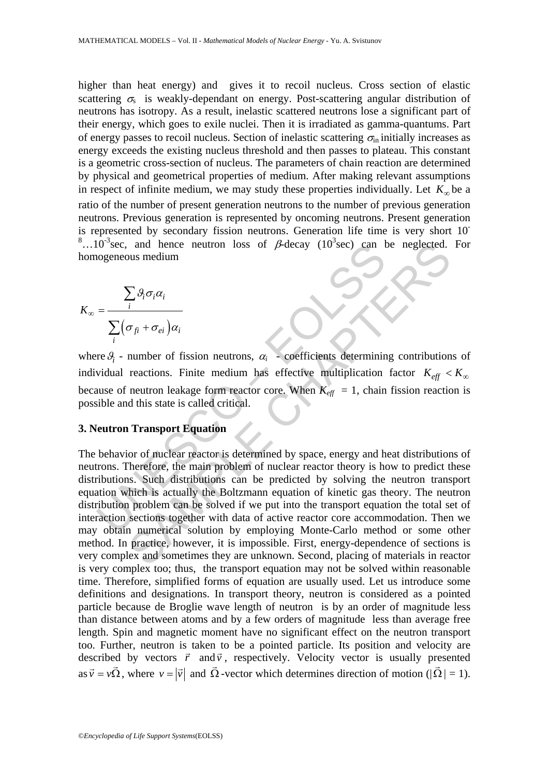higher than heat energy) and gives it to recoil nucleus. Cross section of elastic scattering  $\sigma_s$  is weakly-dependant on energy. Post-scattering angular distribution of neutrons has isotropy. As a result, inelastic scattered neutrons lose a significant part of their energy, which goes to exile nuclei. Then it is irradiated as gamma-quantums. Part of energy passes to recoil nucleus. Section of inelastic scattering  $\sigma_{\text{in}}$  initially increases as energy exceeds the existing nucleus threshold and then passes to plateau. This constant is a geometric cross-section of nucleus. The parameters of chain reaction are determined by physical and geometrical properties of medium. After making relevant assumptions in respect of infinite medium, we may study these properties individually. Let  $K_{\infty}$  be a ratio of the number of present generation neutrons to the number of previous generation neutrons. Previous generation is represented by oncoming neutrons. Present generation is represented by secondary fission neutrons. Generation life time is very short 10- <sup>8</sup>...10<sup>-3</sup> sec, and hence neutron loss of  $\beta$ -decay (10<sup>3</sup> sec) can be neglected. For homogeneous medium

$$
K_{\infty} = \frac{\sum_{i} \mathcal{G}_{i} \sigma_{i} \alpha_{i}}{\sum_{i} (\sigma_{fi} + \sigma_{ei}) \alpha_{i}}
$$

where  $\mathcal{G}_i$  - number of fission neutrons,  $\alpha_i$  - coefficients determining contributions of individual reactions. Finite medium has effective multiplication factor  $K_{\text{eff}} < K_{\infty}$ because of neutron leakage form reactor core. When  $K_{\text{eff}} = 1$ , chain fission reaction is possible and this state is called critical.

#### **3. Neutron Transport Equation**

10 sec, and hence neutron loss of  $\beta$ -decay (10 sec) can be<br>
nogeneous medium<br>  $\sum_{i} \beta_{i} \sigma_{i} \alpha_{i}$ <br>  $= \frac{\sum_{i} \beta_{i} \sigma_{i} \alpha_{i}}{\sum_{i} (\sigma_{f_{i}} + \sigma_{ei}) \alpha_{i}}$ <br>  $= \frac{\sum_{i} \beta_{i} \sigma_{i} \alpha_{i}}{\sum_{i} (\sigma_{f_{i}} + \sigma_{ei}) \alpha_{i}}$ <br>
widual reactions. and hence neutron loss of  $\beta$ -decay (10'sec) can be neglected.<br>
Just medium<br>  $\sum_{i} \beta_{i} \sigma_{i} \alpha_{i}$ <br>  $\sigma_{f i} + \sigma_{ei} \alpha_{i}$ <br>
number of fission neutrons,  $\alpha_{i}$  - coefficients determining contribution<br>
reactions. Finite med The behavior of nuclear reactor is determined by space, energy and heat distributions of neutrons. Therefore, the main problem of nuclear reactor theory is how to predict these distributions. Such distributions can be predicted by solving the neutron transport equation which is actually the Boltzmann equation of kinetic gas theory. The neutron distribution problem can be solved if we put into the transport equation the total set of interaction sections together with data of active reactor core accommodation. Then we may obtain numerical solution by employing Monte-Carlo method or some other method. In practice, however, it is impossible. First, energy-dependence of sections is very complex and sometimes they are unknown. Second, placing of materials in reactor is very complex too; thus, the transport equation may not be solved within reasonable time. Therefore, simplified forms of equation are usually used. Let us introduce some definitions and designations. In transport theory, neutron is considered as a pointed particle because de Broglie wave length of neutron is by an order of magnitude less than distance between atoms and by a few orders of magnitude less than average free length. Spin and magnetic moment have no significant effect on the neutron transport too. Further, neutron is taken to be a pointed particle. Its position and velocity are G G described by vectors  $\vec{r}$  and  $\vec{v}$ , respectively. Velocity vector is usually presented as  $\vec{v} = v\vec{\Omega}$ , where  $v = |\vec{v}|$  and  $\vec{\Omega}$ -vector which determines direction of motion ( $|\vec{\Omega}| = 1$ ).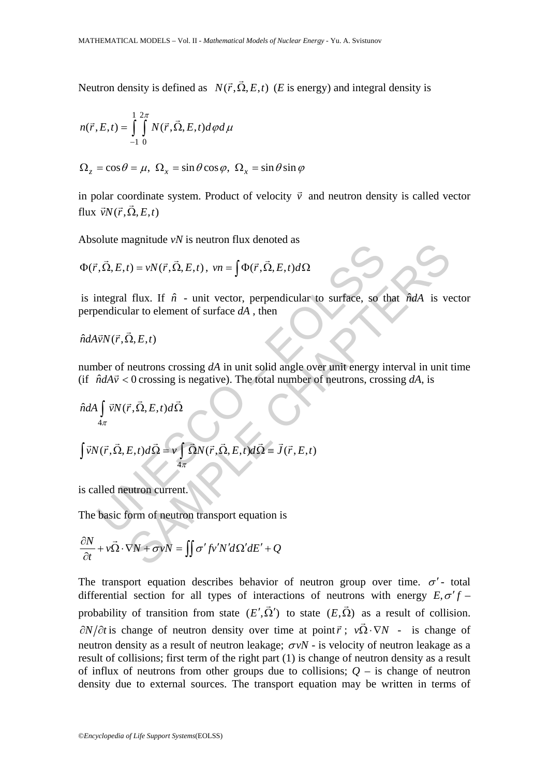Neutron density is defined as  $N(\vec{r}, \vec{\Omega}, E, t)$  (*E* is energy) and integral density is

$$
n(\vec{r},E,t) = \int_{-1}^{1} \int_{0}^{2\pi} N(\vec{r},\vec{\Omega},E,t) d\varphi d\mu
$$

$$
\Omega_z = \cos \theta = \mu, \ \Omega_x = \sin \theta \cos \varphi, \ \Omega_x = \sin \theta \sin \varphi
$$

in polar coordinate system. Product of velocity  $\vec{v}$  and neutron density is called vector flux  $\vec{v}N(\vec{r}, \vec{\Omega}, E, t)$ 

Absolute magnitude *vN* is neutron flux denoted as

$$
\Phi(\vec{r}, \vec{\Omega}, E, t) = vN(\vec{r}, \vec{\Omega}, E, t), \quad vn = \int \Phi(\vec{r}, \vec{\Omega}, E, t) d\Omega
$$

is integral flux. If  $\hat{n}$  - unit vector, perpendicular to surface, so that  $\hat{n}dA$  is vector perpendicular to element of surface *dA* , then

$$
\hat{n}dA\vec{v}N(\vec{r},\vec{\Omega},E,t)
$$

number of neutrons crossing *dA* in unit solid angle over unit energy interval in unit time (if  $\hat{n}dA\vec{v} < 0$  crossing is negative). The total number of neutrons, crossing dA, is

*Λ*θ*( r*, *Ω̇*, *E*, *t*) = *vN*(*r̄*, *Ω̄*, *E*, *t*), *vn* = 
$$
\int \Phi(\vec{r}, \vec{\Omega}, E, t) d\Omega
$$
 is integral flux. If  $\hat{n}$  - unit vector, perpendicular to surface, so that  $\hat{n}dA$  is very perpendicular to element of surface *dA*, then  $\hat{n}dA\vec{v}N(\vec{r}, \vec{\Omega}, E, t)$  number of neutrons crossing *dA* in unit solid angle over unit energy interval in unit (if  $\hat{n}dA\vec{v} < 0$  crossing is negative). The total number of neutrons, crossing *dA*, is  $\hat{n}dA \int_{4\pi} \vec{v}N(\vec{r}, \vec{\Omega}, E, t) d\vec{\Omega} = \hat{v} \int \vec{\Omega}N(\vec{r}, \vec{\Omega}, E, t) d\vec{\Omega} = \vec{J}(\vec{r}, E, t)$  is called neutron current. The basic form of neutron transport equation is  $\frac{\partial N}{\partial t} + v\vec{\Omega} \cdot \nabla N + \sigma vN = \int \sigma' f v'N' d\Omega' dE' + Q$ 

4

π

is called neutron current.

The basic form of neutron transport equation is

$$
\frac{\partial N}{\partial t} + v\vec{\Omega} \cdot \nabla N + \sigma vN = \iint \sigma' f v' N' d\Omega' dE' + Q
$$

The transport equation describes behavior of neutron group over time.  $\sigma'$ - total differential section for all types of interactions of neutrons with energy  $E, \sigma' f$  – probability of transition from state  $(E', \vec{\Omega}')$  to state  $(E, \vec{\Omega})$  as a result of collision.  $\partial N/\partial t$  is change of neutron density over time at point  $\vec{r}$ ;  $v\vec{\Omega} \cdot \nabla N$  - is change of neutron density as a result of neutron leakage;  $\sigma vN$  - is velocity of neutron leakage as a result of collisions; first term of the right part (1) is change of neutron density as a result of influx of neutrons from other groups due to collisions;  $Q -$  is change of neutron density due to external sources. The transport equation may be written in terms of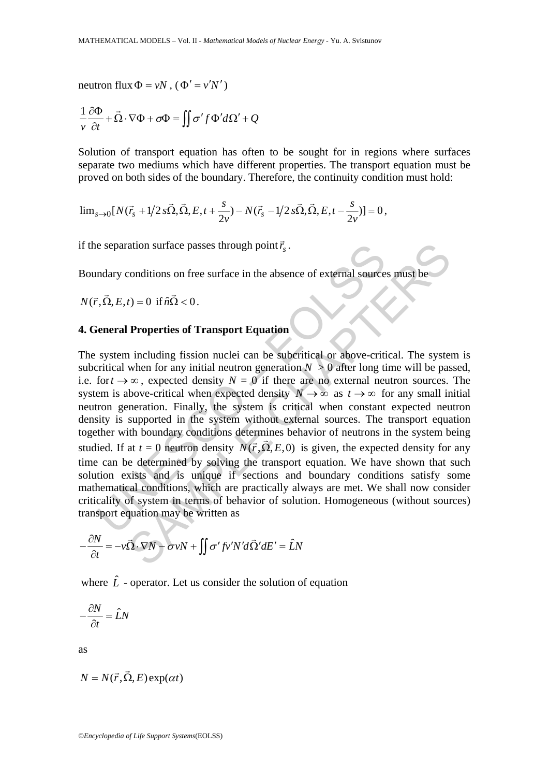neutron flux  $\Phi = vN$ ,  $(\Phi' = v'N')$ 

$$
\frac{1}{v}\frac{\partial \Phi}{\partial t} + \vec{\Omega} \cdot \nabla \Phi + \sigma \Phi = \iint \sigma' f \Phi' d\Omega' + Q
$$

Solution of transport equation has often to be sought for in regions where surfaces separate two mediums which have different properties. The transport equation must be proved on both sides of the boundary. Therefore, the continuity condition must hold:

$$
\lim_{s\to 0} [N(\vec{r}_s + 1/2 s\vec{\Omega}, \vec{\Omega}, E, t + \frac{s}{2v}) - N(\vec{r}_s - 1/2 s\vec{\Omega}, \vec{\Omega}, E, t - \frac{s}{2v})] = 0,
$$

if the separation surface passes through point  $\vec{r}_s$ .

Boundary conditions on free surface in the absence of external sources must be

$$
N(\vec{r}, \vec{\Omega}, E, t) = 0 \text{ if } \hat{n}\vec{\Omega} < 0.
$$

## **4. General Properties of Transport Equation**

e separation surface passes through point  $\vec{r}_s$ .<br>
andary conditions on free surface in the absence of external source<br>  $\vec{r}, \vec{\Omega}, E, t$  = 0 if  $\hat{n}\vec{\Omega} < 0$ .<br>
ieneral Properties of Transport Equation<br>
system including f ation surface passes through point  $\vec{r}_s$ .<br>
conditions on free surface in the absence of external sources must be<br>  $t = 0$  if  $\hat{n}\Omega < 0$ .<br> **Properties of Transport Equation**<br>
including fission nuclei can be suberitical o The system including fission nuclei can be subcritical or above-critical. The system is subcritical when for any initial neutron generation  $N > 0$  after long time will be passed, i.e. for  $t \to \infty$ , expected density  $N = 0$  if there are no external neutron sources. The system is above-critical when expected density  $N \to \infty$  as  $t \to \infty$  for any small initial neutron generation. Finally, the system is critical when constant expected neutron density is supported in the system without external sources. The transport equation together with boundary conditions determines behavior of neutrons in the system being studied. If at  $t = 0$  neutron density  $N(\vec{r}, \vec{\Omega}, E, 0)$  is given, the expected density for any time can be determined by solving the transport equation. We have shown that such solution exists and is unique if sections and boundary conditions satisfy some mathematical conditions, which are practically always are met. We shall now consider criticality of system in terms of behavior of solution. Homogeneous (without sources) transport equation may be written as

$$
-\frac{\partial N}{\partial t} = -v\vec{\Omega}\cdot\nabla N - \sigma vN + \iint \sigma'fv'N'd\vec{\Omega}'dE' = \hat{L}N
$$

where  $\hat{L}$  - operator. Let us consider the solution of equation

$$
-\frac{\partial N}{\partial t} = \hat{L}N
$$

as

$$
N = N(\vec{r}, \vec{\Omega}, E) \exp(\alpha t)
$$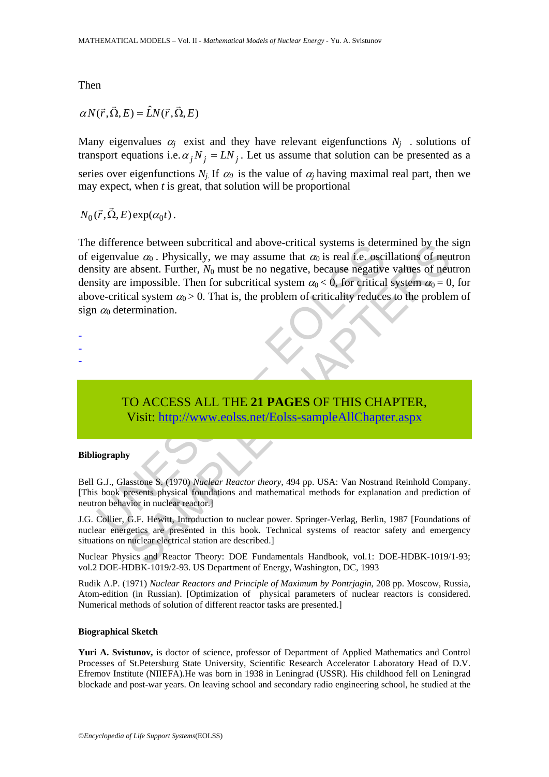Then

# $\alpha N(\vec{r}, \vec{\Omega}, E) = \hat{L}N(\vec{r}, \vec{\Omega}, E)$

Many eigenvalues  $\alpha_i$  exist and they have relevant eigenfunctions  $N_i$  - solutions of transport equations i.e.  $\alpha_j N_j = LN_j$ . Let us assume that solution can be presented as a series over eigenfunctions  $N_i$ . If  $\alpha_0$  is the value of  $\alpha_i$  having maximal real part, then we may expect, when *t* is great, that solution will be proportional

 $N_0(\vec{r}, \vec{\Omega}, E) \exp(\alpha_0 t)$ .

difference between subcritical and above-critical systems is determination  $\alpha_0$ . Physically, we may assume that  $\alpha_0$  is real i.e. oscillesting are absent. Further,  $N_0$  must be no negative, because negative is tysic nce between subcritical and above-critical systems is determined by the<br>
lue  $\alpha_0$ . Physically, we may assume that  $\alpha_0$  is real i.e. oscillations of neu<br>
absent. Further,  $N_0$  must be no negative, because negative val The difference between subcritical and above-critical systems is determined by the sign of eigenvalue  $\alpha_0$ . Physically, we may assume that  $\alpha_0$  is real i.e. oscillations of neutron density are absent. Further,  $N_0$  must be no negative, because negative values of neutron density are impossible. Then for subcritical system  $\alpha_0 < 0$ , for critical system  $\alpha_0 = 0$ , for above-critical system  $\alpha_0 > 0$ . That is, the problem of criticality reduces to the problem of sign  $\alpha_0$  determination.

- -
- -
- -

# TO ACCESS ALL THE **21 PAGES** OF THIS CHAPTER, Visit: http://www.eolss.net/Eolss-sampleAllChapter.aspx

#### **Bibliography**

Bell G.J., Glasstone S. (1970) *Nuclear Reactor theory,* 494 pp. USA: Van Nostrand Reinhold Company. [This book presents physical foundations and mathematical methods for explanation and prediction of neutron behavior in nuclear reactor.]

J.G. Collier, G.F. Hewitt, Introduction to nuclear power. Springer-Verlag, Berlin, 1987 [Foundations of nuclear energetics are presented in this book. Technical systems of reactor safety and emergency situations on nuclear electrical station are described.]

Nuclear Physics and Reactor Theory: DOE Fundamentals Handbook, vol.1: DOE-HDBK-1019/1-93; vol.2 DOE-HDBK-1019/2-93. US Department of Energy, Washington, DC, 1993

Rudik A.P. (1971) *Nuclear Reactors and Principle of Maximum by Pontrjagin*, 208 pp. Moscow, Russia, Atom-edition (in Russian). [Optimization of physical parameters of nuclear reactors is considered. Numerical methods of solution of different reactor tasks are presented.]

#### **Biographical Sketch**

**Yuri A. Svistunov,** is doctor of science, professor of Department of Applied Mathematics and Control Processes of St.Petersburg State University, Scientific Research Accelerator Laboratory Head of D.V. Efremov Institute (NIIEFA).He was born in 1938 in Leningrad (USSR). His childhood fell on Leningrad blockade and post-war years. On leaving school and secondary radio engineering school, he studied at the